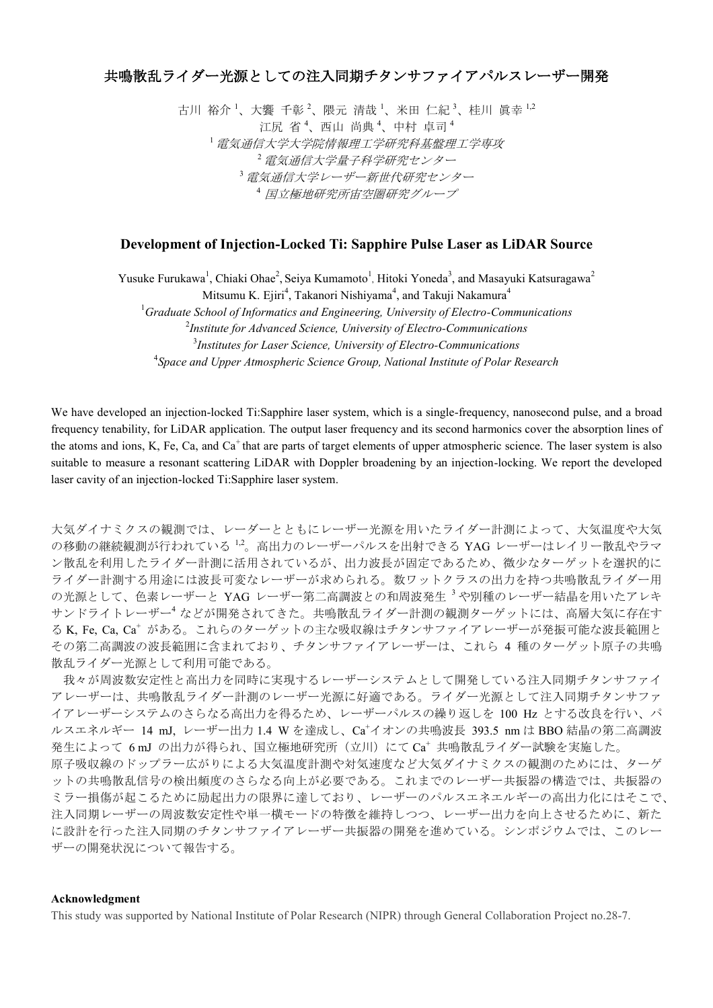## 共鳴散乱ライダー光源としての注入同期チタンサファイアパルスレーザー開発

古川 裕介<sup>1</sup>、大饗 千彰<sup>2</sup>、隈元 清哉<sup>1</sup>、米田 仁紀<sup>3</sup>、桂川 眞幸<sup>1,2</sup> 江尻省4、西山尚典4、中村卓司4 <sup>1</sup>電気通信大学大学院情報理工学研究科基盤理工学専攻 2 電気通信大学量子科学研究センター <sup>3</sup>電気通信大学レーザー新世代研究センター <sup>4</sup> 国立極地研究所宙空圏研究グループ

## **Development of Injection-Locked Ti: Sapphire Pulse Laser as LiDAR Source**

Yusuke Furukawa<sup>1</sup>, Chiaki Ohae<sup>2</sup>, Seiya Kumamoto<sup>1</sup>, Hitoki Yoneda<sup>3</sup>, and Masayuki Katsuragawa<sup>2</sup>

Mitsumu K. Ejiri<sup>4</sup>, Takanori Nishiyama<sup>4</sup>, and Takuji Nakamura<sup>4</sup>

*Graduate School of Informatics and Engineering, University of Electro-Communications Institute for Advanced Science, University of Electro-Communications Institutes for Laser Science, University of Electro-Communications Space and Upper Atmospheric Science Group, National Institute of Polar Research*

We have developed an injection-locked Ti:Sapphire laser system, which is a single-frequency, nanosecond pulse, and a broad frequency tenability, for LiDAR application. The output laser frequency and its second harmonics cover the absorption lines of the atoms and ions, K, Fe, Ca, and  $Ca^+$  that are parts of target elements of upper atmospheric science. The laser system is also suitable to measure a resonant scattering LiDAR with Doppler broadening by an injection-locking. We report the developed laser cavity of an injection-locked Ti:Sapphire laser system.

大気ダイナミクスの観測では、レーダーとともにレーザー光源を用いたライダー計測によって、大気温度や大気 の移動の継続観測が行われている<sup>1,2</sup>。高出力のレーザーパルスを出射できる YAG レーザーはレイリー散乱やラマ ン散乱を利用したライダー計測に活用されているが、出力波長が固定であるため、微少なターゲットを選択的に ライダー計測する用途には波長可変なレーザーが求められる。数ワットクラスの出力を持つ共鳴散乱ライダー用 の光源として、色素レーザーと YAG レーザー第二高調波との和周波発生<sup>3</sup>や別種のレーザー結晶を用いたアレキ サンドライトレーザー<sup>4</sup> などが開発されてきた。共鳴散乱ライダー計測の観測ターゲットには、高層大気に存在す る K, Fe, Ca, Ca<sup>+</sup> がある。これらのターゲットの主な吸収線はチタンサファイアレーザーが発振可能な波長範囲と その第二高調波の波長範囲に含まれており、チタンサファイアレーザーは、これら 4 種のターゲット原子の共鳴 散乱ライダー光源として利用可能である。

我々が周波数安定性と高出力を同時に実現するレーザーシステムとして開発している注入同期チタンサファイ アレーザーは、共鳴散乱ライダー計測のレーザー光源に好適である。ライダー光源として注入同期チタンサファ イアレーザーシステムのさらなる高出力を得るため、レーザーパルスの繰り返しを 100 Hz とする改良を行い、パ ルスエネルギー 14 mJ, レーザー出力 1.4 W を達成し、Ca<sup>+</sup>イオンの共鳴波長 393.5 nm は BBO 結晶の第二高調波 発生によって 6mJ の出力が得られ、国立極地研究所 (立川)にて Ca+ 共鳴散乱ライダー試験を実施した。 原子吸収線のドップラー広がりによる大気温度計測や対気速度など大気ダイナミクスの観測のためには、ターゲ ットの共鳴散乱信号の検出頻度のさらなる向上が必要である。これまでのレーザー共振器の構造では、共振器の ミラー損傷が起こるために励起出力の限界に達しており、レーザーのパルスエネエルギーの高出力化にはそこで、 注入同期レーザーの周波数安定性や単一横モードの特徴を維持しつつ、レーザー出力を向上させるために、新た に設計を行った注入同期のチタンサファイアレーザー共振器の開発を進めている。シンポジウムでは、このレー ザーの開発状況について報告する。

## **Acknowledgment**

This study was supported by National Institute of Polar Research (NIPR) through General Collaboration Project no.28-7.